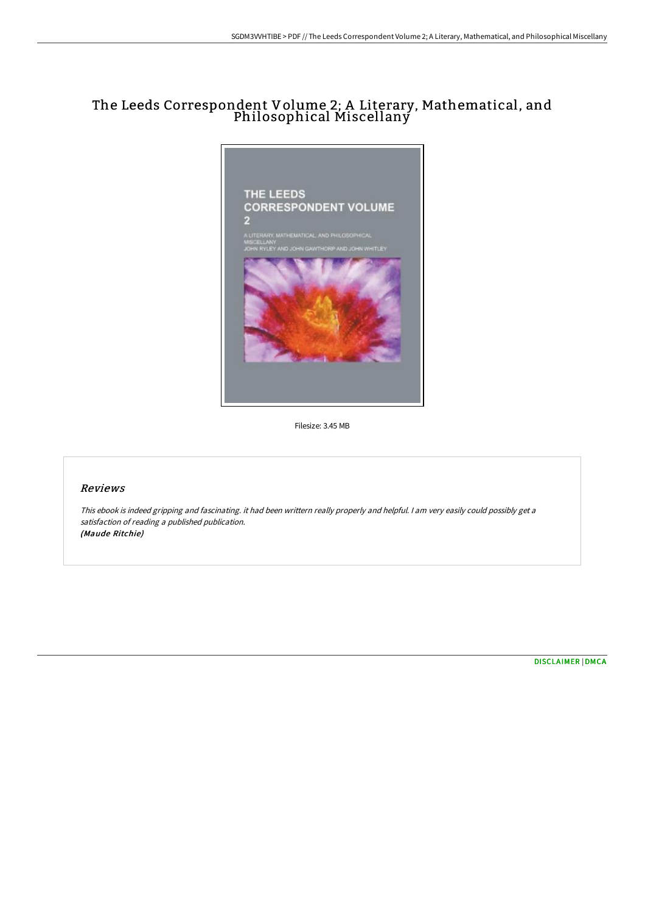# The Leeds Correspondent Volume 2; A Literary, Mathematical, and Philosophical Miscellany



Filesize: 3.45 MB

### Reviews

This ebook is indeed gripping and fascinating. it had been writtern really properly and helpful. <sup>I</sup> am very easily could possibly get <sup>a</sup> satisfaction of reading <sup>a</sup> published publication. (Maude Ritchie)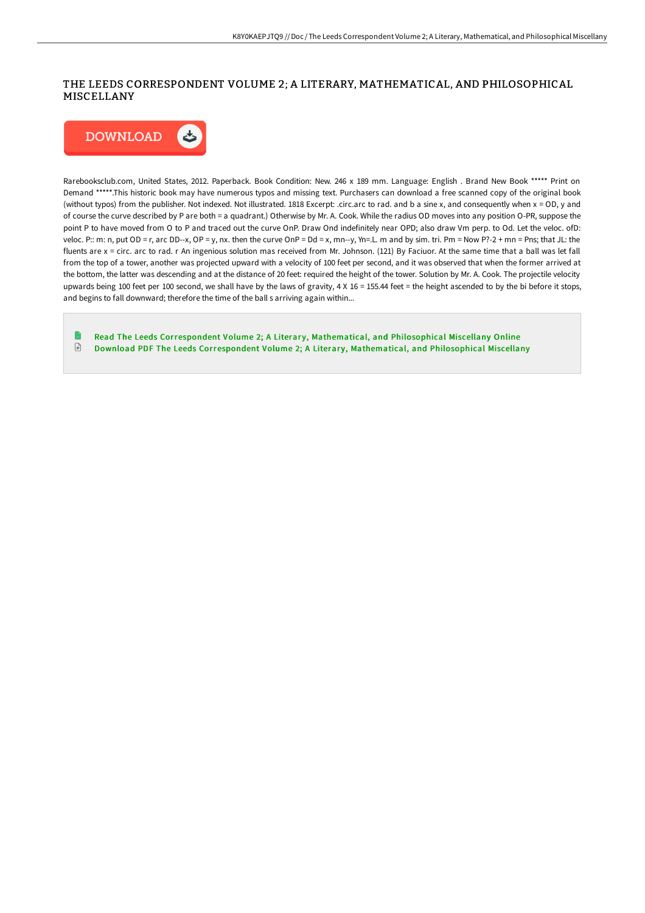# THE LEEDS CORRESPONDENT VOLUME 2; A LITERARY, MATHEMATICAL, AND PHILOSOPHICAL MISCELLANY



Rarebooksclub.com, United States, 2012. Paperback. Book Condition: New. 246 x 189 mm. Language: English . Brand New Book \*\*\*\*\* Print on Demand \*\*\*\*\*.This historic book may have numerous typos and missing text. Purchasers can download a free scanned copy of the original book (without typos) from the publisher. Not indexed. Not illustrated. 1818 Excerpt: .circ.arc to rad. and b a sine x, and consequently when x = OD, y and of course the curve described by P are both = a quadrant.) Otherwise by Mr. A. Cook. While the radius OD moves into any position O-PR, suppose the point P to have moved from O to P and traced out the curve OnP. Draw Ond indefinitely near OPD; also draw Vm perp. to Od. Let the veloc. ofD: veloc. P:: m: n, put OD = r, arc DD--x, OP = y, nx. then the curve OnP = Dd = x, mn--y, Yn=.L. m and by sim. tri. Pm = Now P?-2 + mn = Pns; that JL: the fluents are x = circ. arc to rad. r An ingenious solution mas received from Mr. Johnson. (121) By Faciuor. At the same time that a ball was let fall from the top of a tower, another was projected upward with a velocity of 100 feet per second, and it was observed that when the former arrived at the bottom, the latter was descending and at the distance of 20 feet: required the height of the tower. Solution by Mr. A. Cook. The projectile velocity upwards being 100 feet per 100 second, we shall have by the laws of gravity, 4 X 16 = 155.44 feet = the height ascended to by the bi before it stops, and begins to fall downward; therefore the time of the ball s arriving again within...

Read The Leeds [Correspondent](http://albedo.media/the-leeds-correspondent-volume-2-a-literary-math.html) Volume 2; A Literary, Mathematical, and Philosophical Miscellany Online  $\ensuremath{\mathop\square}\xspace$ Download PDF The Leeds [Correspondent](http://albedo.media/the-leeds-correspondent-volume-2-a-literary-math.html) Volume 2; A Literary, Mathematical, and Philosophical Miscellany